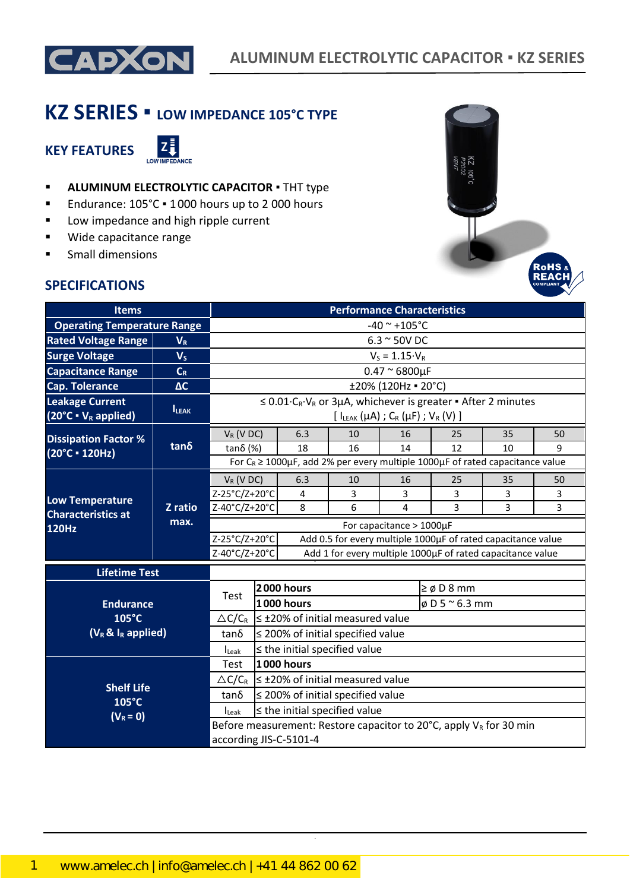

# **KZ SERIES ▪ LOW IMPEDANCE 105°C TYPE**

**KEY FEATURES**



- **E** ALUMINUM ELECTROLYTIC CAPACITOR . THT type
- Endurance: 105°C 1000 hours up to 2 000 hours
- Low impedance and high ripple current
- Wide capacitance range
- Small dimensions

## **SPECIFICATIONS**



| <b>Items</b>                                                |                   |                                                                               |                                                                                                                                            | <b>Performance Characteristics</b> |                                           |                         |                                                                                             |    |    |  |
|-------------------------------------------------------------|-------------------|-------------------------------------------------------------------------------|--------------------------------------------------------------------------------------------------------------------------------------------|------------------------------------|-------------------------------------------|-------------------------|---------------------------------------------------------------------------------------------|----|----|--|
| <b>Operating Temperature Range</b>                          |                   | $-40$ ~ $+105$ °C                                                             |                                                                                                                                            |                                    |                                           |                         |                                                                                             |    |    |  |
| <b>Rated Voltage Range</b>                                  | $V_R$             |                                                                               |                                                                                                                                            | $6.3 \sim 50V$ DC                  |                                           |                         |                                                                                             |    |    |  |
| <b>Surge Voltage</b>                                        | V <sub>S</sub>    |                                                                               |                                                                                                                                            |                                    |                                           | $V_S = 1.15 \cdot V_R$  |                                                                                             |    |    |  |
| <b>Capacitance Range</b>                                    | $C_R$             | $0.47 \approx 6800 \mu F$                                                     |                                                                                                                                            |                                    |                                           |                         |                                                                                             |    |    |  |
| <b>Cap. Tolerance</b>                                       | $\Delta C$        |                                                                               | ±20% (120Hz = 20°C)                                                                                                                        |                                    |                                           |                         |                                                                                             |    |    |  |
| <b>Leakage Current</b><br>$(20^{\circ}C \cdot V_R$ applied) | <b>ILEAK</b>      |                                                                               | $\leq 0.01 \cdot C_R \cdot V_R$ or 3µA, whichever is greater $\blacksquare$ After 2 minutes<br>$[ I_{LEAK}(\mu A) ; C_R(\mu F) ; V_R(V) ]$ |                                    |                                           |                         |                                                                                             |    |    |  |
| <b>Dissipation Factor %</b>                                 |                   | $V_R$ (V DC)                                                                  |                                                                                                                                            | 6.3                                | 10                                        | 16                      | 25                                                                                          | 35 | 50 |  |
| (20°C · 120Hz)                                              | $tan\delta$       | tanδ $(%)$                                                                    |                                                                                                                                            | 18                                 | 16                                        | 14                      | 12                                                                                          | 10 | q  |  |
|                                                             |                   |                                                                               |                                                                                                                                            |                                    |                                           |                         | For $C_R \ge 1000 \mu$ F, add 2% per every multiple 1000 $\mu$ F of rated capacitance value |    |    |  |
|                                                             | Z ratio<br>max.   | $V_R$ (V DC)                                                                  |                                                                                                                                            | 6.3                                | 10                                        | 16                      | 25                                                                                          | 35 | 50 |  |
| <b>Low Temperature</b>                                      |                   | Z-25°C/Z+20°C                                                                 |                                                                                                                                            | 4                                  | 3                                         | 3                       | 3                                                                                           | 3  | 3  |  |
| <b>Characteristics at</b>                                   |                   | Z-40°C/Z+20°C                                                                 |                                                                                                                                            | 8                                  | 6                                         | 4                       | 3                                                                                           | 3  | 3  |  |
| <b>120Hz</b>                                                |                   | For capacitance $> 1000 \mu F$                                                |                                                                                                                                            |                                    |                                           |                         |                                                                                             |    |    |  |
|                                                             |                   | Z-25°C/Z+20°C<br>Add 0.5 for every multiple 1000µF of rated capacitance value |                                                                                                                                            |                                    |                                           |                         |                                                                                             |    |    |  |
|                                                             |                   | Z-40°C/Z+20°C<br>Add 1 for every multiple 1000µF of rated capacitance value   |                                                                                                                                            |                                    |                                           |                         |                                                                                             |    |    |  |
| <b>Lifetime Test</b>                                        |                   |                                                                               |                                                                                                                                            |                                    |                                           |                         |                                                                                             |    |    |  |
|                                                             |                   | <b>2000 hours</b>                                                             |                                                                                                                                            |                                    |                                           | $\geq \emptyset$ D 8 mm |                                                                                             |    |    |  |
| <b>Endurance</b>                                            |                   | Test                                                                          | <b>1000 hours</b><br>$\phi$ D 5 $\degree$ 6.3 mm                                                                                           |                                    |                                           |                         |                                                                                             |    |    |  |
| $105^{\circ}$ C                                             |                   | $\triangle C/C_R$                                                             |                                                                                                                                            |                                    | $\leq$ ±20% of initial measured value     |                         |                                                                                             |    |    |  |
| $(V_R \& I_R$ applied)                                      |                   | tan δ                                                                         | $\leq$ 200% of initial specified value                                                                                                     |                                    |                                           |                         |                                                                                             |    |    |  |
|                                                             |                   | <b>I</b> Leak                                                                 |                                                                                                                                            |                                    | $\le$ the initial specified value         |                         |                                                                                             |    |    |  |
|                                                             |                   | Test                                                                          |                                                                                                                                            | <b>1000 hours</b>                  |                                           |                         |                                                                                             |    |    |  |
|                                                             |                   | $\triangle C/C_R$                                                             |                                                                                                                                            |                                    | $\leq \pm 20\%$ of initial measured value |                         |                                                                                             |    |    |  |
| $105^{\circ}$ C                                             | <b>Shelf Life</b> |                                                                               |                                                                                                                                            |                                    | $\leq$ 200% of initial specified value    |                         |                                                                                             |    |    |  |
| $(V_R = 0)$                                                 |                   | $I_{\text{Leak}}$                                                             |                                                                                                                                            |                                    | $\leq$ the initial specified value        |                         |                                                                                             |    |    |  |
|                                                             |                   |                                                                               |                                                                                                                                            |                                    |                                           |                         | Before measurement: Restore capacitor to 20 $^{\circ}$ C, apply V <sub>R</sub> for 30 min   |    |    |  |
|                                                             |                   |                                                                               | according JIS-C-5101-4                                                                                                                     |                                    |                                           |                         |                                                                                             |    |    |  |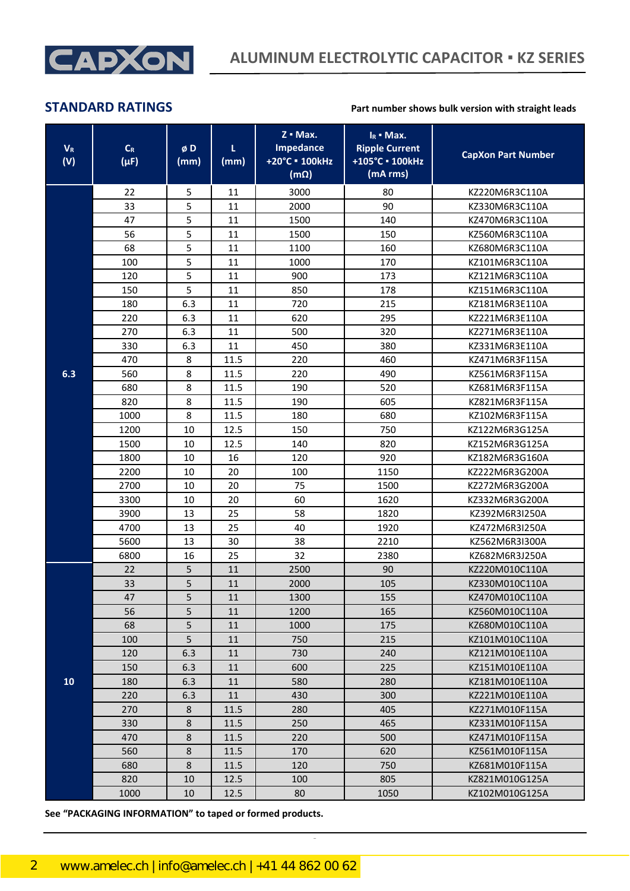

| $V_R$<br>(V) | $\mathsf{C}_{\mathsf{R}}$<br>$(\mu F)$ | øD<br>(mm) | L.<br>(mm) | $Z \cdot Max.$<br><b>Impedance</b><br>+20°C = 100kHz<br>$(m\Omega)$ | $I_R$ - Max.<br><b>Ripple Current</b><br>+105°C · 100kHz<br>(mA rms) | <b>CapXon Part Number</b> |
|--------------|----------------------------------------|------------|------------|---------------------------------------------------------------------|----------------------------------------------------------------------|---------------------------|
|              | 22                                     | 5          | 11         | 3000                                                                | 80                                                                   | KZ220M6R3C110A            |
|              | 33                                     | 5          | 11         | 2000                                                                | 90                                                                   | KZ330M6R3C110A            |
|              | 47                                     | 5          | 11         | 1500                                                                | 140                                                                  | KZ470M6R3C110A            |
|              | 56                                     | 5          | 11         | 1500                                                                | 150                                                                  | KZ560M6R3C110A            |
|              | 68                                     | 5          | 11         | 1100                                                                | 160                                                                  | KZ680M6R3C110A            |
|              | 100                                    | 5          | 11         | 1000                                                                | 170                                                                  | KZ101M6R3C110A            |
|              | 120                                    | 5          | 11         | 900                                                                 | 173                                                                  | KZ121M6R3C110A            |
|              | 150                                    | 5          | 11         | 850                                                                 | 178                                                                  | KZ151M6R3C110A            |
|              | 180                                    | 6.3        | 11         | 720                                                                 | 215                                                                  | KZ181M6R3E110A            |
|              | 220                                    | 6.3        | 11         | 620                                                                 | 295                                                                  | KZ221M6R3E110A            |
|              | 270                                    | 6.3        | 11         | 500                                                                 | 320                                                                  | KZ271M6R3E110A            |
|              | 330                                    | 6.3        | 11         | 450                                                                 | 380                                                                  | KZ331M6R3E110A            |
|              | 470                                    | 8          | 11.5       | 220                                                                 | 460                                                                  | KZ471M6R3F115A            |
| 6.3          | 560                                    | 8          | 11.5       | 220                                                                 | 490                                                                  | KZ561M6R3F115A            |
|              | 680                                    | 8          | 11.5       | 190                                                                 | 520                                                                  | KZ681M6R3F115A            |
|              | 820                                    | 8          | 11.5       | 190                                                                 | 605                                                                  | KZ821M6R3F115A            |
|              | 1000                                   | 8          | 11.5       | 180                                                                 | 680                                                                  | KZ102M6R3F115A            |
|              | 1200                                   | 10         | 12.5       | 150                                                                 | 750                                                                  | KZ122M6R3G125A            |
|              | 1500                                   | 10         | 12.5       | 140                                                                 | 820                                                                  | KZ152M6R3G125A            |
|              | 1800                                   | 10         | 16         | 120                                                                 | 920                                                                  | KZ182M6R3G160A            |
|              | 2200                                   | 10         | 20         | 100                                                                 | 1150                                                                 | KZ222M6R3G200A            |
|              | 2700                                   | 10         | 20         | 75                                                                  | 1500                                                                 | KZ272M6R3G200A            |
|              | 3300                                   | 10         | 20         | 60                                                                  | 1620                                                                 | KZ332M6R3G200A            |
|              | 3900                                   | 13         | 25         | 58                                                                  | 1820                                                                 | KZ392M6R3I250A            |
|              | 4700                                   | 13         | 25         | 40                                                                  | 1920                                                                 | KZ472M6R3I250A            |
|              | 5600                                   | 13         | 30         | 38                                                                  | 2210                                                                 | KZ562M6R3I300A            |
|              | 6800                                   | 16         | 25         | 32                                                                  | 2380                                                                 | KZ682M6R3J250A            |
|              | 22                                     | 5          | 11         | 2500                                                                | 90                                                                   | KZ220M010C110A            |
|              | 33                                     | 5          | 11         | 2000                                                                | 105                                                                  | KZ330M010C110A            |
|              | 47                                     | 5          | $11\,$     | 1300                                                                | 155                                                                  | KZ470M010C110A            |
|              | 56                                     | 5          | 11         | 1200                                                                | 165                                                                  | KZ560M010C110A            |
|              | 68                                     | 5          | 11         | 1000                                                                | 175                                                                  | KZ680M010C110A            |
|              | 100                                    | 5          | 11         | 750                                                                 | 215                                                                  | KZ101M010C110A            |
|              | 120                                    | 6.3        | 11         | 730                                                                 | 240                                                                  | KZ121M010E110A            |
|              | 150                                    | 6.3        | 11         | 600                                                                 | 225                                                                  | KZ151M010E110A            |
| 10           | 180                                    | 6.3        | 11         | 580                                                                 | 280                                                                  | KZ181M010E110A            |
|              | 220                                    | 6.3        | 11         | 430                                                                 | 300                                                                  | KZ221M010E110A            |
|              | 270                                    | 8          | 11.5       | 280                                                                 | 405                                                                  | KZ271M010F115A            |
|              | 330                                    | 8          | 11.5       | 250                                                                 | 465                                                                  | KZ331M010F115A            |
|              | 470                                    | 8          | 11.5       | 220                                                                 | 500                                                                  | KZ471M010F115A            |
|              | 560                                    | 8          | 11.5       | 170                                                                 | 620                                                                  | KZ561M010F115A            |
|              | 680                                    | 8          | 11.5       | 120                                                                 | 750                                                                  | KZ681M010F115A            |
|              | 820                                    | 10         | 12.5       | 100                                                                 | 805                                                                  | KZ821M010G125A            |
|              | 1000                                   | 10         | 12.5       | 80                                                                  | 1050                                                                 | KZ102M010G125A            |

CapXon\_Ver. 001 – 03/31/2020 2 Document Number: KZ series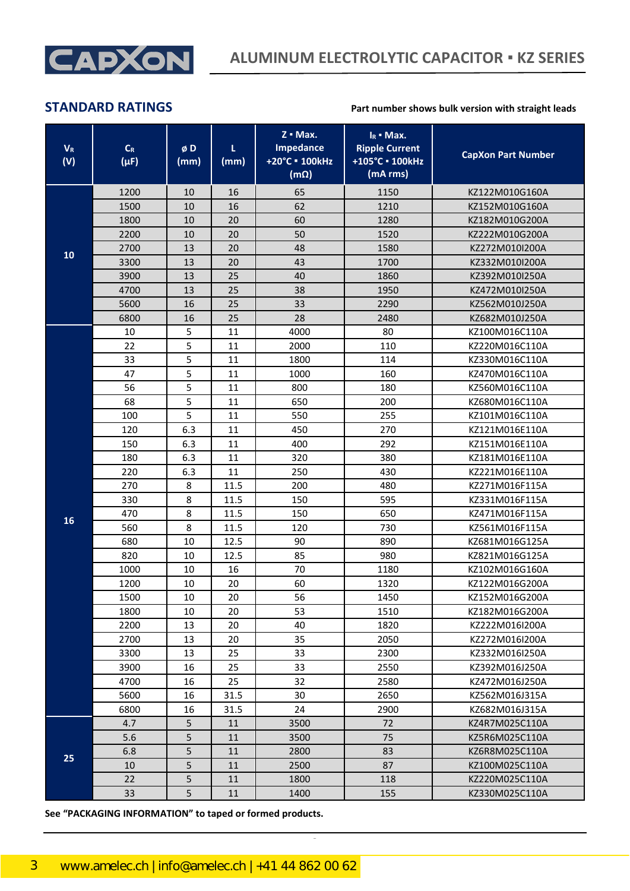

| $V_R$<br>(V) | $\mathsf{C}_{\mathsf{R}}$<br>$(\mu F)$ | øD<br>(mm) | L.<br>(mm) | $Z \cdot Max.$<br><b>Impedance</b><br>+20°C = 100kHz<br>$(m\Omega)$ | $I_R$ - Max.<br><b>Ripple Current</b><br>+105°C · 100kHz<br>(mA rms) | <b>CapXon Part Number</b> |
|--------------|----------------------------------------|------------|------------|---------------------------------------------------------------------|----------------------------------------------------------------------|---------------------------|
|              | 1200                                   | 10         | 16         | 65                                                                  | 1150                                                                 | KZ122M010G160A            |
|              | 1500                                   | 10         | 16         | 62                                                                  | 1210                                                                 | KZ152M010G160A            |
|              | 1800                                   | 10         | 20         | 60                                                                  | 1280                                                                 | KZ182M010G200A            |
|              | 2200                                   | 10         | 20         | 50                                                                  | 1520                                                                 | KZ222M010G200A            |
|              | 2700                                   | 13         | 20         | 48                                                                  | 1580                                                                 | KZ272M010I200A            |
| 10           | 3300                                   | 13         | 20         | 43                                                                  | 1700                                                                 | KZ332M010I200A            |
|              | 3900                                   | 13         | 25         | 40                                                                  | 1860                                                                 | KZ392M010I250A            |
|              | 4700                                   | 13         | 25         | 38                                                                  | 1950                                                                 | KZ472M010I250A            |
|              | 5600                                   | 16         | 25         | 33                                                                  | 2290                                                                 | KZ562M010J250A            |
|              | 6800                                   | 16         | 25         | 28                                                                  | 2480                                                                 | KZ682M010J250A            |
|              | 10                                     | 5          | 11         | 4000                                                                | 80                                                                   | KZ100M016C110A            |
|              | 22                                     | 5          | 11         | 2000                                                                | 110                                                                  | KZ220M016C110A            |
|              | 33                                     | 5          | 11         | 1800                                                                | 114                                                                  | KZ330M016C110A            |
|              | 47                                     | 5          | 11         | 1000                                                                | 160                                                                  | KZ470M016C110A            |
|              | 56                                     | 5          | 11         | 800                                                                 | 180                                                                  | KZ560M016C110A            |
|              | 68                                     | 5          | 11         | 650                                                                 | 200                                                                  | KZ680M016C110A            |
|              | 100                                    | 5          | 11         | 550                                                                 | 255                                                                  | KZ101M016C110A            |
|              | 120                                    | 6.3        | 11         | 450                                                                 | 270                                                                  | KZ121M016E110A            |
|              | 150                                    | 6.3        | 11         | 400                                                                 | 292                                                                  | KZ151M016E110A            |
|              | 180                                    | 6.3        | 11         | 320                                                                 | 380                                                                  | KZ181M016E110A            |
|              | 220                                    | 6.3        | 11         | 250                                                                 | 430                                                                  | KZ221M016E110A            |
|              | 270                                    | 8          | 11.5       | 200                                                                 | 480                                                                  | KZ271M016F115A            |
|              | 330                                    | 8          | 11.5       | 150                                                                 | 595                                                                  | KZ331M016F115A            |
| 16           | 470                                    | 8          | 11.5       | 150                                                                 | 650                                                                  | KZ471M016F115A            |
|              | 560                                    | 8          | 11.5       | 120                                                                 | 730                                                                  | KZ561M016F115A            |
|              | 680                                    | 10         | 12.5       | 90                                                                  | 890                                                                  | KZ681M016G125A            |
|              | 820                                    | 10         | 12.5       | 85                                                                  | 980                                                                  | KZ821M016G125A            |
|              | 1000                                   | 10         | 16         | 70                                                                  | 1180                                                                 | KZ102M016G160A            |
|              | 1200                                   | 10         | 20         | 60                                                                  | 1320                                                                 | KZ122M016G200A            |
|              | 1500                                   | $10\,$     | $20\,$     | 56                                                                  | 1450                                                                 | KZ152M016G200A            |
|              | 1800                                   | 10         | 20         | 53                                                                  | 1510                                                                 | KZ182M016G200A            |
|              | 2200                                   | 13         | 20         | 40                                                                  | 1820                                                                 | KZ222M016I200A            |
|              | 2700                                   | 13         | 20         | 35                                                                  | 2050                                                                 | KZ272M016I200A            |
|              | 3300                                   | 13         | 25         | 33                                                                  | 2300                                                                 | KZ332M016I250A            |
|              | 3900                                   | 16         | 25         | 33                                                                  | 2550                                                                 | KZ392M016J250A            |
|              | 4700                                   | 16         | 25         | 32                                                                  | 2580                                                                 | KZ472M016J250A            |
|              | 5600                                   | 16         | 31.5       | 30                                                                  | 2650                                                                 | KZ562M016J315A            |
|              | 6800                                   | 16         | 31.5       | 24                                                                  | 2900                                                                 | KZ682M016J315A            |
|              | 4.7                                    | 5          | 11         | 3500                                                                | 72                                                                   | KZ4R7M025C110A            |
|              | 5.6                                    | 5          | 11         | 3500                                                                | 75                                                                   | KZ5R6M025C110A            |
| 25           | 6.8                                    | 5          | 11         | 2800                                                                | 83                                                                   | KZ6R8M025C110A            |
|              | 10                                     | 5          | 11         | 2500                                                                | 87                                                                   | KZ100M025C110A            |
|              | 22                                     | 5          | 11         | 1800                                                                | 118                                                                  | KZ220M025C110A            |
|              | 33                                     | 5          | 11         | 1400                                                                | 155                                                                  | KZ330M025C110A            |

CapXon\_Ver. 001 – 03/31/2020 3 Document Number: KZ series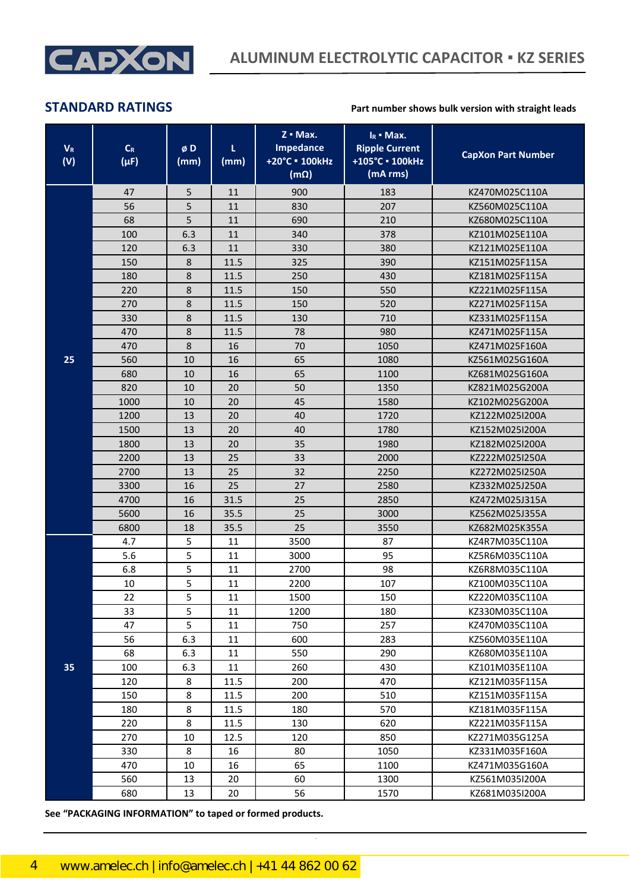

| $\mathsf{V}_{\mathsf{R}}$<br>(V) | $\mathsf{C}_{\mathsf{R}}$<br>$(\mu F)$ | øD<br>(mm) | L<br>(mm) | $Z \cdot Max.$<br>Impedance<br>+20°C = 100kHz<br>$(m\Omega)$ | $I_R$ - Max.<br><b>Ripple Current</b><br>+105°C · 100kHz<br>(mA rms) | <b>CapXon Part Number</b> |
|----------------------------------|----------------------------------------|------------|-----------|--------------------------------------------------------------|----------------------------------------------------------------------|---------------------------|
|                                  | 47                                     | 5          | 11        | 900                                                          | 183                                                                  | KZ470M025C110A            |
|                                  | 56                                     | 5          | 11        | 830                                                          | 207                                                                  | KZ560M025C110A            |
|                                  | 68                                     | 5          | 11        | 690                                                          | 210                                                                  | KZ680M025C110A            |
|                                  | 100                                    | 6.3        | 11        | 340                                                          | 378                                                                  | KZ101M025E110A            |
|                                  | 120                                    | 6.3        | 11        | 330                                                          | 380                                                                  | KZ121M025E110A            |
|                                  | 150                                    | 8          | 11.5      | 325                                                          | 390                                                                  | KZ151M025F115A            |
|                                  | 180                                    | 8          | 11.5      | 250                                                          | 430                                                                  | KZ181M025F115A            |
|                                  | 220                                    | 8          | 11.5      | 150                                                          | 550                                                                  | KZ221M025F115A            |
|                                  | 270                                    | 8          | 11.5      | 150                                                          | 520                                                                  | KZ271M025F115A            |
|                                  | 330                                    | 8          | 11.5      | 130                                                          | 710                                                                  | KZ331M025F115A            |
|                                  | 470                                    | 8          | 11.5      | 78                                                           | 980                                                                  | KZ471M025F115A            |
|                                  | 470                                    | 8          | 16        | 70                                                           | 1050                                                                 | KZ471M025F160A            |
| 25                               | 560                                    | 10         | 16        | 65                                                           | 1080                                                                 | KZ561M025G160A            |
|                                  | 680                                    | 10         | 16        | 65                                                           | 1100                                                                 | KZ681M025G160A            |
|                                  | 820                                    | 10         | 20        | 50                                                           | 1350                                                                 | KZ821M025G200A            |
|                                  | 1000                                   | 10         | 20        | 45                                                           | 1580                                                                 | KZ102M025G200A            |
|                                  | 1200                                   | 13         | 20        | 40                                                           | 1720                                                                 | KZ122M025I200A            |
|                                  | 1500                                   | 13         | 20        | 40                                                           | 1780                                                                 | KZ152M025I200A            |
|                                  | 1800                                   | 13         | 20        | 35                                                           | 1980                                                                 | KZ182M025I200A            |
|                                  | 2200                                   | 13         | 25        | 33                                                           | 2000                                                                 | KZ222M025I250A            |
|                                  | 2700                                   | 13         | 25        | 32                                                           | 2250                                                                 | KZ272M025I250A            |
|                                  | 3300                                   | 16         | 25        | 27                                                           | 2580                                                                 | KZ332M025J250A            |
|                                  | 4700                                   | 16         | 31.5      | 25                                                           | 2850                                                                 | KZ472M025J315A            |
|                                  | 5600                                   | 16         | 35.5      | 25                                                           | 3000                                                                 | KZ562M025J355A            |
|                                  | 6800                                   | 18         | 35.5      | 25                                                           | 3550                                                                 | KZ682M025K355A            |
|                                  | 4.7                                    | 5          | 11        | 3500                                                         | 87                                                                   | KZ4R7M035C110A            |
|                                  | 5.6                                    | 5          | 11        | 3000                                                         | 95                                                                   | KZ5R6M035C110A            |
|                                  | 6.8                                    | 5          | 11        | 2700                                                         | 98                                                                   | KZ6R8M035C110A            |
|                                  | 10                                     | 5          | 11        | 2200                                                         | 107                                                                  | KZ100M035C110A            |
|                                  | 22                                     | 5          | $11\,$    | 1500                                                         | 150                                                                  | KZ220M035C110A            |
|                                  | 33                                     | 5          | 11        | 1200                                                         | 180                                                                  | KZ330M035C110A            |
|                                  | 47                                     | 5          | 11        | 750                                                          | 257                                                                  | KZ470M035C110A            |
|                                  | 56                                     | 6.3        | 11        | 600                                                          | 283                                                                  | KZ560M035E110A            |
|                                  | 68                                     | 6.3        | 11        | 550                                                          | 290                                                                  | KZ680M035E110A            |
| 35                               | 100                                    | 6.3        | 11        | 260                                                          | 430                                                                  | KZ101M035E110A            |
|                                  | 120                                    | 8          | 11.5      | 200                                                          | 470                                                                  | KZ121M035F115A            |
|                                  | 150                                    | 8          | 11.5      | 200                                                          | 510                                                                  | KZ151M035F115A            |
|                                  | 180                                    | 8          | 11.5      | 180                                                          | 570                                                                  | KZ181M035F115A            |
|                                  | 220                                    | 8          | 11.5      | 130                                                          | 620                                                                  | KZ221M035F115A            |
|                                  | 270                                    | 10         | 12.5      | 120                                                          | 850                                                                  | KZ271M035G125A            |
|                                  | 330                                    | 8          | 16        | 80                                                           | 1050                                                                 | KZ331M035F160A            |
|                                  | 470                                    | 10         | 16        | 65                                                           | 1100                                                                 | KZ471M035G160A            |
|                                  | 560                                    | 13         | 20        | 60                                                           | 1300                                                                 | KZ561M035I200A            |
|                                  | 680                                    | 13         | 20        | 56                                                           | 1570                                                                 | KZ681M035I200A            |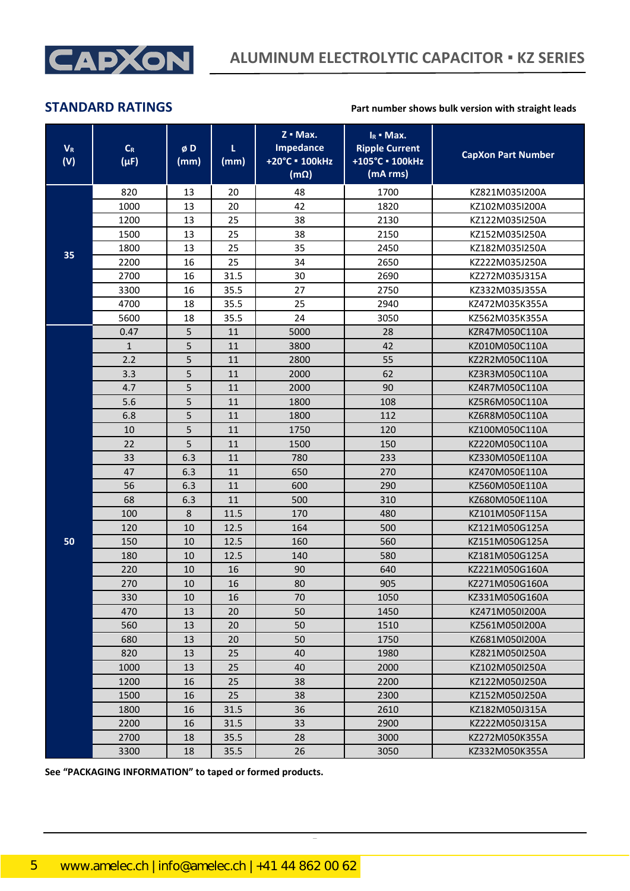

| $V_R$<br>(V) | $\mathsf{C}_{\mathsf{R}}$<br>$(\mu F)$ | øD<br>(mm) | τ<br>(mm) | $Z \cdot Max.$<br><b>Impedance</b><br>+20°C = 100kHz<br>$(m\Omega)$ | $I_R$ - Max.<br><b>Ripple Current</b><br>+105°C · 100kHz<br>(mA rms) | <b>CapXon Part Number</b> |
|--------------|----------------------------------------|------------|-----------|---------------------------------------------------------------------|----------------------------------------------------------------------|---------------------------|
|              | 820                                    | 13         | 20        | 48                                                                  | 1700                                                                 | KZ821M035I200A            |
| 1000         |                                        | 13         | 20        | 42                                                                  | 1820                                                                 | KZ102M035I200A            |
|              | 1200                                   | 13         | 25        | 38                                                                  | 2130                                                                 | KZ122M035I250A            |
|              | 1500                                   | 13         | 25        | 38                                                                  | 2150                                                                 | KZ152M035I250A            |
|              | 1800                                   | 13         | 25        | 35                                                                  | 2450                                                                 | KZ182M035I250A            |
| 35           | 2200                                   | 16         | 25        | 34                                                                  | 2650                                                                 | KZ222M035J250A            |
|              | 2700                                   | 16         | 31.5      | 30                                                                  | 2690                                                                 | KZ272M035J315A            |
|              | 3300                                   | 16         | 35.5      | 27                                                                  | 2750                                                                 | KZ332M035J355A            |
|              | 4700                                   | 18         | 35.5      | 25                                                                  | 2940                                                                 | KZ472M035K355A            |
|              | 5600                                   | 18         | 35.5      | 24                                                                  | 3050                                                                 | KZ562M035K355A            |
|              | 0.47                                   | 5          | 11        | 5000                                                                | 28                                                                   | KZR47M050C110A            |
|              | $\mathbf{1}$                           | 5          | 11        | 3800                                                                | 42                                                                   | KZ010M050C110A            |
|              | 2.2                                    | 5          | 11        | 2800                                                                | 55                                                                   | KZ2R2M050C110A            |
|              | 3.3                                    | 5          | 11        | 2000                                                                | 62                                                                   | KZ3R3M050C110A            |
|              | 4.7                                    | 5          | 11        | 2000                                                                | 90                                                                   | KZ4R7M050C110A            |
|              | 5.6                                    | 5          | 11        | 1800                                                                | 108                                                                  | KZ5R6M050C110A            |
|              | 6.8                                    | 5          | 11        | 1800                                                                | 112                                                                  | KZ6R8M050C110A            |
|              | 10                                     | 5          | 11        | 1750                                                                | 120                                                                  | KZ100M050C110A            |
|              | 22                                     | 5          | 11        | 1500                                                                | 150                                                                  | KZ220M050C110A            |
|              | 33                                     | 6.3        | 11        | 780                                                                 | 233                                                                  | KZ330M050E110A            |
|              | 47                                     | 6.3        | 11        | 650                                                                 | 270                                                                  | KZ470M050E110A            |
|              | 56                                     | 6.3        | 11        | 600                                                                 | 290                                                                  | KZ560M050E110A            |
|              | 68                                     | 6.3        | 11        | 500                                                                 | 310                                                                  | KZ680M050E110A            |
|              | 100                                    | 8          | 11.5      | 170                                                                 | 480                                                                  | KZ101M050F115A            |
|              | 120                                    | 10         | 12.5      | 164                                                                 | 500                                                                  | KZ121M050G125A            |
| 50           | 150                                    | 10         | 12.5      | 160                                                                 | 560                                                                  | KZ151M050G125A            |
|              | 180                                    | 10         | 12.5      | 140                                                                 | 580                                                                  | KZ181M050G125A            |
|              | 220                                    | 10         | 16        | 90                                                                  | 640                                                                  | KZ221M050G160A            |
|              | 270                                    | 10         | 16        | 80                                                                  | 905                                                                  | KZ271M050G160A            |
|              | 330                                    | $10\,$     | 16        | $70\,$                                                              | 1050                                                                 | KZ331M050G160A            |
|              | 470                                    | 13         | 20        | 50                                                                  | 1450                                                                 | KZ471M050I200A            |
|              | 560                                    | 13         | 20        | 50                                                                  | 1510                                                                 | KZ561M050I200A            |
|              | 680                                    | 13         | 20        | 50                                                                  | 1750                                                                 | KZ681M050I200A            |
|              | 820                                    | 13         | 25        | 40                                                                  | 1980                                                                 | KZ821M050I250A            |
|              | 1000                                   | 13         | 25        | 40                                                                  | 2000                                                                 | KZ102M050I250A            |
|              | 1200                                   | 16         | 25        | 38                                                                  | 2200                                                                 | KZ122M050J250A            |
|              | 1500<br>16                             |            | 25        | 38                                                                  | 2300                                                                 | KZ152M050J250A            |
|              | 1800                                   | 16         | 31.5      | 36                                                                  | 2610                                                                 | KZ182M050J315A            |
|              | 2200                                   | 16         | 31.5      | 33                                                                  | 2900                                                                 | KZ222M050J315A            |
|              | 2700                                   | 18         | 35.5      | 28                                                                  | 3000                                                                 | KZ272M050K355A            |
|              | 3300                                   | 18         | 35.5      | 26                                                                  | 3050                                                                 | KZ332M050K355A            |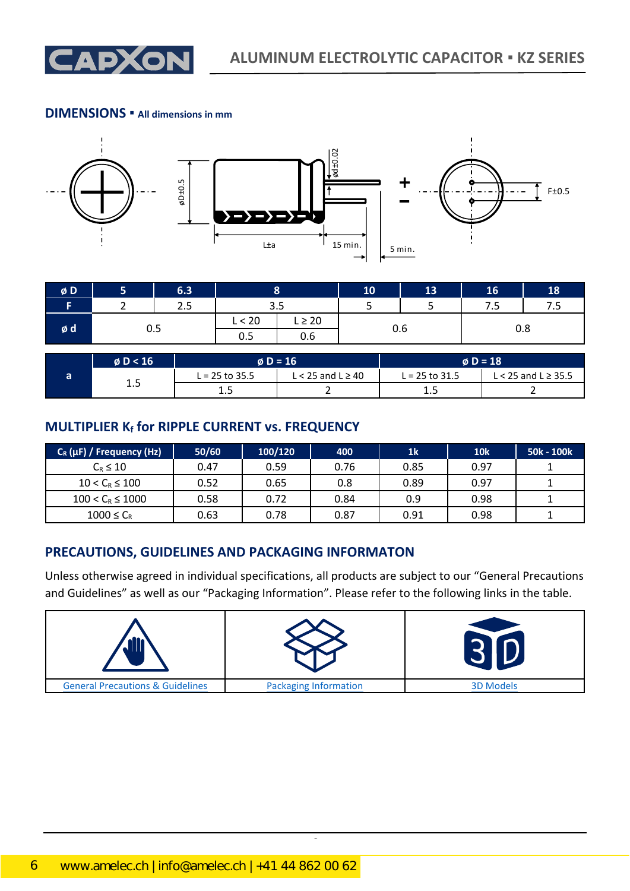

### **DIMENSIONS ▪ All dimensions in mm**



| $\boldsymbol{\emptyset}$ D |             | 6.3 |        |             | 10  | 13 | 16   | 18         |
|----------------------------|-------------|-----|--------|-------------|-----|----|------|------------|
|                            |             | 2.5 | ວ.ວ    |             | ັ   |    | ر. ، | 75<br>ر. ر |
|                            | 0.5<br>o di |     | L < 20 | $L \geq 20$ |     |    | U.8  |            |
|                            |             |     | 0.5    | 0.6         | U.b |    |      |            |

|     | $\phi$ D < 16 | $\phi$ D = 16    |                                  | $\phi$ D = 18  |                            |  |
|-----|---------------|------------------|----------------------------------|----------------|----------------------------|--|
|     | —             | $L = 25$ to 35.5 | $\leq$ 25 and L $\geq$ 40 $\leq$ | L = 25 to 31.5 | $L < 25$ and $L \geq 35.5$ |  |
| ∸.J | ∸. –          |                  | ∸.                               |                |                            |  |

### **MULTIPLIER K<sup>f</sup> for RIPPLE CURRENT vs. FREQUENCY**

| C <sub>R</sub> (µF) / Frequency (Hz) | 50/60 | 100/120 | 400  | 1 <sub>k</sub> | <b>10k</b> | 50k - 100k |
|--------------------------------------|-------|---------|------|----------------|------------|------------|
| $C_R \leq 10$                        | 0.47  | 0.59    | 0.76 | 0.85           | 0.97       |            |
| $10 < C_R \le 100$                   | 0.52  | 0.65    | 0.8  | 0.89           | 0.97       |            |
| $100 < C_R \le 1000$                 | 0.58  | 0.72    | 0.84 | 0.9            | 0.98       |            |
| $1000 \leq C_R$                      | 0.63  | 0.78    | 0.87 | 0.91           | 0.98       |            |

## **PRECAUTIONS, GUIDELINES AND PACKAGING INFORMATON**

Unless otherwise agreed in individual specifications, all products are subject to our "General Precautions and Guidelines" as well as our "Packaging Information". Please refer to the following links in the table.

| <b>General Precautions &amp; Guidelines</b> | <b>Packaging Information</b> | <b>3D Models</b> |
|---------------------------------------------|------------------------------|------------------|

CapXon\_Ver. 001 – 03/31/2020 6 Document Number: KZ series